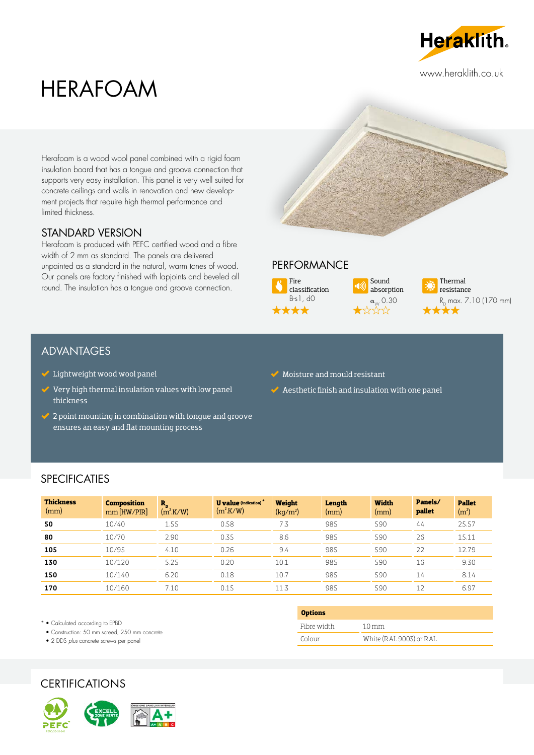

www.heraklith.co.uk

# HERAFOAM

Herafoam is a wood wool panel combined with a rigid foam insulation board that has a tongue and groove connection that supports very easy installation. This panel is very well suited for concrete ceilings and walls in renovation and new development projects that require high thermal performance and limited thickness.

## STANDARD VERSION

Herafoam is produced with PEFC certified wood and a fibre width of 2 mm as standard. The panels are delivered unpainted as a standard in the natural, warm tones of wood. Our panels are factory finished with lapjoints and beveled all round. The insulation has a tongue and groove connection.



## **PERFORMANCE**



Sound absorption  $\alpha_{\text{W}}^{0.30}$ 



## ADVANTAGES

- $\checkmark$  Lightweight wood wool panel
- Very high thermal insulation values with low panel thickness
- $\blacktriangleright$  2 point mounting in combination with tongue and groove ensures an easy and flat mounting process
- $\blacktriangleright$  Moisture and mould resistant
- $\blacktriangleright$  Aesthetic finish and insulation with one panel

## **SPECIFICATIES**

| <b>Thickness</b><br>(mm) | <b>Composition</b><br>$mm$ [HW/PIR] | $\mathbf{R}_{\rm n}$<br>$(m^2.K/W)$ | <b>U</b> value (indication) $*$<br>$(m^2$ K/W) | Weight<br>(kg/m <sup>2</sup> ) | Length<br>(mm) | <b>Width</b><br>(mm) | Panels/<br>pallet | <b>Pallet</b><br>(m <sup>2</sup> ) |
|--------------------------|-------------------------------------|-------------------------------------|------------------------------------------------|--------------------------------|----------------|----------------------|-------------------|------------------------------------|
| 50                       | 10/40                               | 1.55                                | 0.58                                           | 7.3                            | 985            | 590                  | 44                | 25.57                              |
| 80                       | 10/70                               | 2.90                                | 0.35                                           | 8.6                            | 985            | 590                  | 26                | 15.11                              |
| 105                      | 10/95                               | 4.10                                | 0.26                                           | 9.4                            | 985            | 590                  | 22                | 12.79                              |
| 130                      | 10/120                              | 5.25                                | 0.20                                           | 10.1                           | 985            | 590                  | 16                | 9.30                               |
| 150                      | 10/140                              | 6.20                                | 0.18                                           | 10.7                           | 985            | 590                  | 14                | 8.14                               |
| 170                      | 10/160                              | 7.10                                | 0.15                                           | 11.3                           | 985            | 590                  | 12                | 6.97                               |

**Options**

Fibre width 1.0 mm

Colour White (RAL 9003) or RAL

\* • Calculated according to EPBD

• Construction: 50 mm screed, 250 mm concrete

• 2 DDS *plus* concrete screws per panel